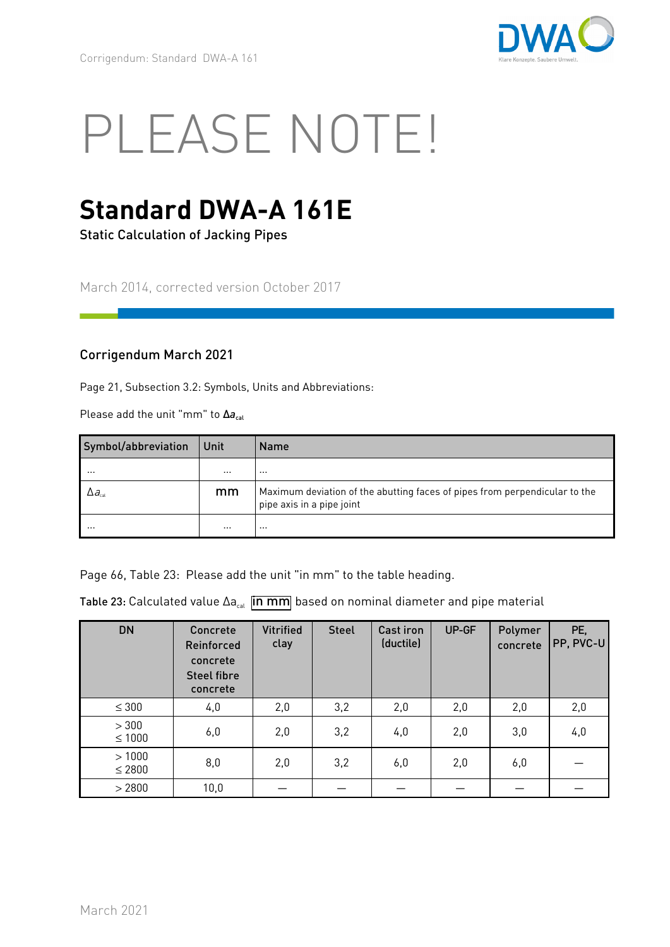

# PLEASE NOTE!

## **Standard DWA-A 161E**

Static Calculation of Jacking Pipes

March 2014, corrected version October 2017

#### Corrigendum March 2021

Page 21, Subsection 3.2: Symbols, Units and Abbreviations:

Please add the unit "mm" to Δa<sub>cal</sub>

| Symbol/abbreviation                    | Unit     | <b>Name</b>                                                                                             |
|----------------------------------------|----------|---------------------------------------------------------------------------------------------------------|
|                                        | $\cdots$ | $\cdots$                                                                                                |
| $\Delta a_{\scriptscriptstyle\rm cal}$ | mm       | Maximum deviation of the abutting faces of pipes from perpendicular to the<br>pipe axis in a pipe joint |
|                                        | $\cdots$ |                                                                                                         |

Page 66, Table 23: Please add the unit "in mm" to the table heading.

Table 23: Calculated value  $\Delta a_{\text{cal}}$  in mm based on nominal diameter and pipe material

| <b>DN</b>         | Concrete<br><b>Reinforced</b><br>concrete<br><b>Steel fibre</b><br>concrete | <b>Vitrified</b><br>clay | <b>Steel</b> | <b>Cast iron</b><br>(ductile) | UP-GF | Polymer<br>concrete | PE,<br>PP, PVC-U |
|-------------------|-----------------------------------------------------------------------------|--------------------------|--------------|-------------------------------|-------|---------------------|------------------|
| $\leq 300$        | 4,0                                                                         | 2,0                      | 3,2          | 2,0                           | 2,0   | 2,0                 | 2,0              |
| > 300<br>$≤ 1000$ | 6,0                                                                         | 2,0                      | 3,2          | 4,0                           | 2,0   | 3,0                 | 4,0              |
| >1000<br>$≤ 2800$ | 8,0                                                                         | 2,0                      | 3,2          | 6,0                           | 2,0   | 6,0                 |                  |
| > 2800            | 10,0                                                                        |                          |              |                               |       |                     |                  |